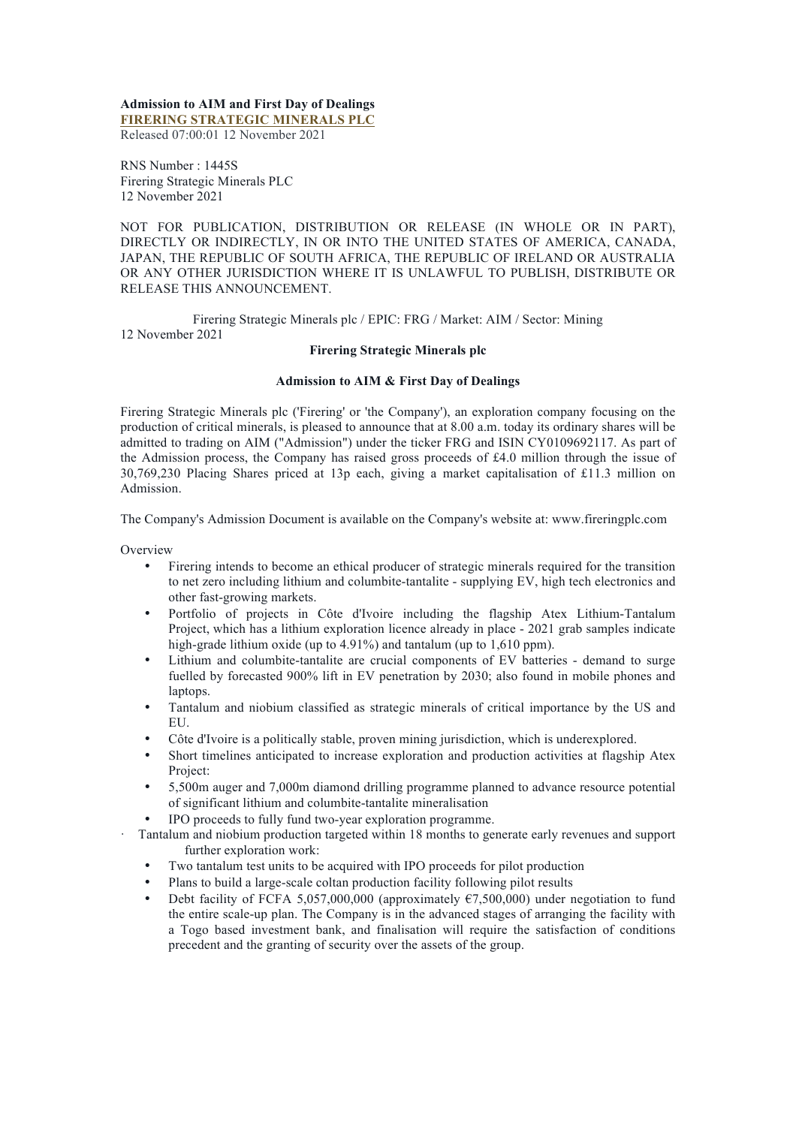#### **Admission to AIM and First Day of Dealings FIRERING STRATEGIC MINERALS PLC**

Released 07:00:01 12 November 2021

RNS Number : 1445S Firering Strategic Minerals PLC 12 November 2021

NOT FOR PUBLICATION, DISTRIBUTION OR RELEASE (IN WHOLE OR IN PART), DIRECTLY OR INDIRECTLY, IN OR INTO THE UNITED STATES OF AMERICA, CANADA, JAPAN, THE REPUBLIC OF SOUTH AFRICA, THE REPUBLIC OF IRELAND OR AUSTRALIA OR ANY OTHER JURISDICTION WHERE IT IS UNLAWFUL TO PUBLISH, DISTRIBUTE OR RELEASE THIS ANNOUNCEMENT.

Firering Strategic Minerals plc / EPIC: FRG / Market: AIM / Sector: Mining 12 November 2021

# **Firering Strategic Minerals plc**

## **Admission to AIM & First Day of Dealings**

Firering Strategic Minerals plc ('Firering' or 'the Company'), an exploration company focusing on the production of critical minerals, is pleased to announce that at 8.00 a.m. today its ordinary shares will be admitted to trading on AIM ("Admission") under the ticker FRG and ISIN CY0109692117. As part of the Admission process, the Company has raised gross proceeds of £4.0 million through the issue of 30,769,230 Placing Shares priced at 13p each, giving a market capitalisation of £11.3 million on Admission.

The Company's Admission Document is available on the Company's website at: www.fireringplc.com

**Overview** 

- Firering intends to become an ethical producer of strategic minerals required for the transition to net zero including lithium and columbite-tantalite - supplying EV, high tech electronics and other fast-growing markets.
- Portfolio of projects in Côte d'Ivoire including the flagship Atex Lithium-Tantalum Project, which has a lithium exploration licence already in place - 2021 grab samples indicate high-grade lithium oxide (up to 4.91%) and tantalum (up to 1,610 ppm).
- Lithium and columbite-tantalite are crucial components of EV batteries demand to surge fuelled by forecasted 900% lift in EV penetration by 2030; also found in mobile phones and laptops.
- Tantalum and niobium classified as strategic minerals of critical importance by the US and EU.
- Côte d'Ivoire is a politically stable, proven mining jurisdiction, which is underexplored.
- Short timelines anticipated to increase exploration and production activities at flagship Atex Project:
- 5,500m auger and 7,000m diamond drilling programme planned to advance resource potential of significant lithium and columbite-tantalite mineralisation
- IPO proceeds to fully fund two-year exploration programme.
- · Tantalum and niobium production targeted within 18 months to generate early revenues and support further exploration work:
	- Two tantalum test units to be acquired with IPO proceeds for pilot production
	- Plans to build a large-scale coltan production facility following pilot results
	- Debt facility of FCFA 5,057,000,000 (approximately  $\epsilon$ 7,500,000) under negotiation to fund the entire scale-up plan. The Company is in the advanced stages of arranging the facility with a Togo based investment bank, and finalisation will require the satisfaction of conditions precedent and the granting of security over the assets of the group.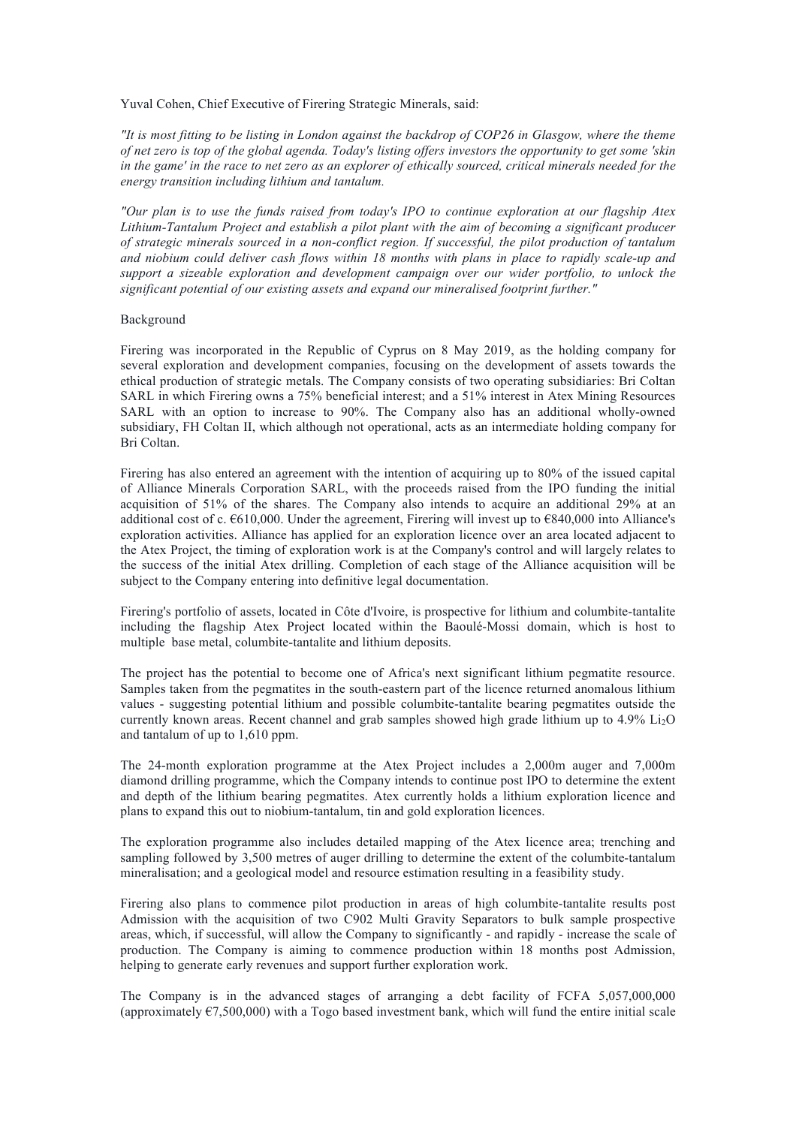Yuval Cohen, Chief Executive of Firering Strategic Minerals, said:

*"It is most fitting to be listing in London against the backdrop of COP26 in Glasgow, where the theme of net zero is top of the global agenda. Today's listing offers investors the opportunity to get some 'skin in the game' in the race to net zero as an explorer of ethically sourced, critical minerals needed for the energy transition including lithium and tantalum.*

*"Our plan is to use the funds raised from today's IPO to continue exploration at our flagship Atex Lithium-Tantalum Project and establish a pilot plant with the aim of becoming a significant producer of strategic minerals sourced in a non-conflict region. If successful, the pilot production of tantalum and niobium could deliver cash flows within 18 months with plans in place to rapidly scale-up and support a sizeable exploration and development campaign over our wider portfolio, to unlock the significant potential of our existing assets and expand our mineralised footprint further."*

# Background

Firering was incorporated in the Republic of Cyprus on 8 May 2019, as the holding company for several exploration and development companies, focusing on the development of assets towards the ethical production of strategic metals. The Company consists of two operating subsidiaries: Bri Coltan SARL in which Firering owns a 75% beneficial interest; and a 51% interest in Atex Mining Resources SARL with an option to increase to 90%. The Company also has an additional wholly-owned subsidiary, FH Coltan II, which although not operational, acts as an intermediate holding company for Bri Coltan.

Firering has also entered an agreement with the intention of acquiring up to 80% of the issued capital of Alliance Minerals Corporation SARL, with the proceeds raised from the IPO funding the initial acquisition of 51% of the shares. The Company also intends to acquire an additional 29% at an additional cost of c. €610,000. Under the agreement, Firering will invest up to €840,000 into Alliance's exploration activities. Alliance has applied for an exploration licence over an area located adjacent to the Atex Project, the timing of exploration work is at the Company's control and will largely relates to the success of the initial Atex drilling. Completion of each stage of the Alliance acquisition will be subject to the Company entering into definitive legal documentation.

Firering's portfolio of assets, located in Côte d'Ivoire, is prospective for lithium and columbite-tantalite including the flagship Atex Project located within the Baoulé-Mossi domain, which is host to multiple base metal, columbite-tantalite and lithium deposits.

The project has the potential to become one of Africa's next significant lithium pegmatite resource. Samples taken from the pegmatites in the south-eastern part of the licence returned anomalous lithium values - suggesting potential lithium and possible columbite-tantalite bearing pegmatites outside the currently known areas. Recent channel and grab samples showed high grade lithium up to 4.9% Li2O and tantalum of up to 1,610 ppm.

The 24-month exploration programme at the Atex Project includes a 2,000m auger and 7,000m diamond drilling programme, which the Company intends to continue post IPO to determine the extent and depth of the lithium bearing pegmatites. Atex currently holds a lithium exploration licence and plans to expand this out to niobium-tantalum, tin and gold exploration licences.

The exploration programme also includes detailed mapping of the Atex licence area; trenching and sampling followed by 3,500 metres of auger drilling to determine the extent of the columbite-tantalum mineralisation; and a geological model and resource estimation resulting in a feasibility study.

Firering also plans to commence pilot production in areas of high columbite-tantalite results post Admission with the acquisition of two C902 Multi Gravity Separators to bulk sample prospective areas, which, if successful, will allow the Company to significantly - and rapidly - increase the scale of production. The Company is aiming to commence production within 18 months post Admission, helping to generate early revenues and support further exploration work.

The Company is in the advanced stages of arranging a debt facility of FCFA 5,057,000,000 (approximately  $\epsilon$ 7,500,000) with a Togo based investment bank, which will fund the entire initial scale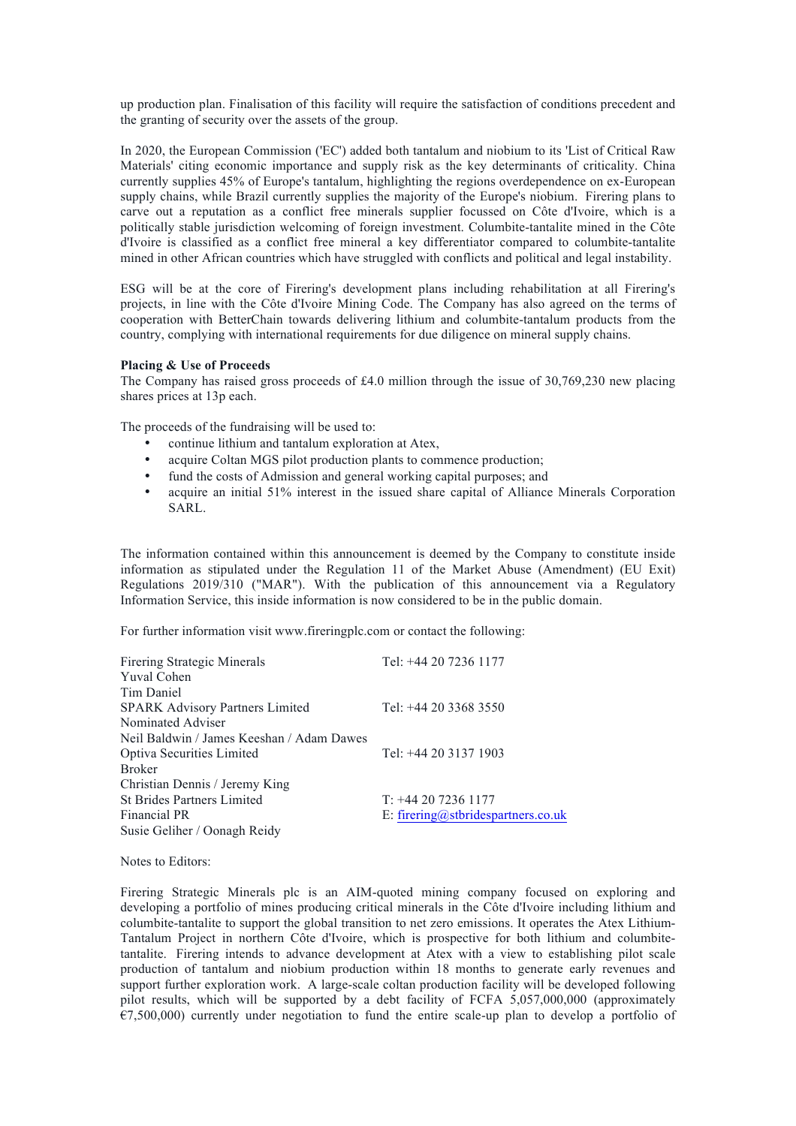up production plan. Finalisation of this facility will require the satisfaction of conditions precedent and the granting of security over the assets of the group.

In 2020, the European Commission ('EC') added both tantalum and niobium to its 'List of Critical Raw Materials' citing economic importance and supply risk as the key determinants of criticality. China currently supplies 45% of Europe's tantalum, highlighting the regions overdependence on ex-European supply chains, while Brazil currently supplies the majority of the Europe's niobium. Firering plans to carve out a reputation as a conflict free minerals supplier focussed on Côte d'Ivoire, which is a politically stable jurisdiction welcoming of foreign investment. Columbite-tantalite mined in the Côte d'Ivoire is classified as a conflict free mineral a key differentiator compared to columbite-tantalite mined in other African countries which have struggled with conflicts and political and legal instability.

ESG will be at the core of Firering's development plans including rehabilitation at all Firering's projects, in line with the Côte d'Ivoire Mining Code. The Company has also agreed on the terms of cooperation with BetterChain towards delivering lithium and columbite-tantalum products from the country, complying with international requirements for due diligence on mineral supply chains.

# **Placing & Use of Proceeds**

The Company has raised gross proceeds of £4.0 million through the issue of 30,769,230 new placing shares prices at 13p each.

The proceeds of the fundraising will be used to:

- continue lithium and tantalum exploration at Atex,
- acquire Coltan MGS pilot production plants to commence production;
- fund the costs of Admission and general working capital purposes; and
- acquire an initial 51% interest in the issued share capital of Alliance Minerals Corporation SARL.

The information contained within this announcement is deemed by the Company to constitute inside information as stipulated under the Regulation 11 of the Market Abuse (Amendment) (EU Exit) Regulations 2019/310 ("MAR"). With the publication of this announcement via a Regulatory Information Service, this inside information is now considered to be in the public domain.

For further information visit www.fireringplc.com or contact the following:

| <b>Firering Strategic Minerals</b>        | Tel: +44 20 7236 1177              |
|-------------------------------------------|------------------------------------|
| <b>Yuval Cohen</b>                        |                                    |
| Tim Daniel                                |                                    |
| <b>SPARK Advisory Partners Limited</b>    | Tel: $+44$ 20 3368 3550            |
| Nominated Adviser                         |                                    |
| Neil Baldwin / James Keeshan / Adam Dawes |                                    |
| Optiva Securities Limited                 | Tel: +44 20 3137 1903              |
| <b>Broker</b>                             |                                    |
| Christian Dennis / Jeremy King            |                                    |
| <b>St Brides Partners Limited</b>         | $T: +442072361177$                 |
| Financial PR                              | E: firering@stbridespartners.co.uk |
| Susie Geliher / Oonagh Reidy              |                                    |

Notes to Editors:

Firering Strategic Minerals plc is an AIM-quoted mining company focused on exploring and developing a portfolio of mines producing critical minerals in the Côte d'Ivoire including lithium and columbite-tantalite to support the global transition to net zero emissions. It operates the Atex Lithium-Tantalum Project in northern Côte d'Ivoire, which is prospective for both lithium and columbitetantalite. Firering intends to advance development at Atex with a view to establishing pilot scale production of tantalum and niobium production within 18 months to generate early revenues and support further exploration work. A large-scale coltan production facility will be developed following pilot results, which will be supported by a debt facility of FCFA 5,057,000,000 (approximately  $E$ 7,500,000) currently under negotiation to fund the entire scale-up plan to develop a portfolio of